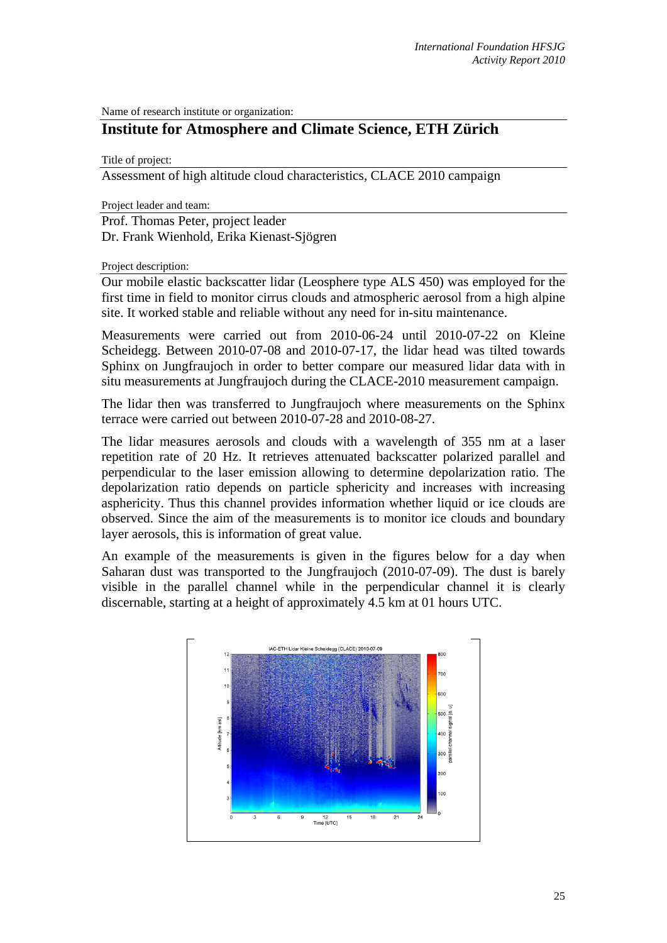Name of research institute or organization:

## **Institute for Atmosphere and Climate Science, ETH Zürich**

Title of project:

Assessment of high altitude cloud characteristics, CLACE 2010 campaign

Project leader and team:

Prof. Thomas Peter, project leader Dr. Frank Wienhold, Erika Kienast-Sjögren

Project description:

Our mobile elastic backscatter lidar (Leosphere type ALS 450) was employed for the first time in field to monitor cirrus clouds and atmospheric aerosol from a high alpine site. It worked stable and reliable without any need for in-situ maintenance.

Measurements were carried out from 2010-06-24 until 2010-07-22 on Kleine Scheidegg. Between 2010-07-08 and 2010-07-17, the lidar head was tilted towards Sphinx on Jungfraujoch in order to better compare our measured lidar data with in situ measurements at Jungfraujoch during the CLACE-2010 measurement campaign.

The lidar then was transferred to Jungfraujoch where measurements on the Sphinx terrace were carried out between 2010-07-28 and 2010-08-27.

The lidar measures aerosols and clouds with a wavelength of 355 nm at a laser repetition rate of 20 Hz. It retrieves attenuated backscatter polarized parallel and perpendicular to the laser emission allowing to determine depolarization ratio. The depolarization ratio depends on particle sphericity and increases with increasing asphericity. Thus this channel provides information whether liquid or ice clouds are observed. Since the aim of the measurements is to monitor ice clouds and boundary layer aerosols, this is information of great value.

An example of the measurements is given in the figures below for a day when Saharan dust was transported to the Jungfraujoch (2010-07-09). The dust is barely visible in the parallel channel while in the perpendicular channel it is clearly discernable, starting at a height of approximately 4.5 km at 01 hours UTC.

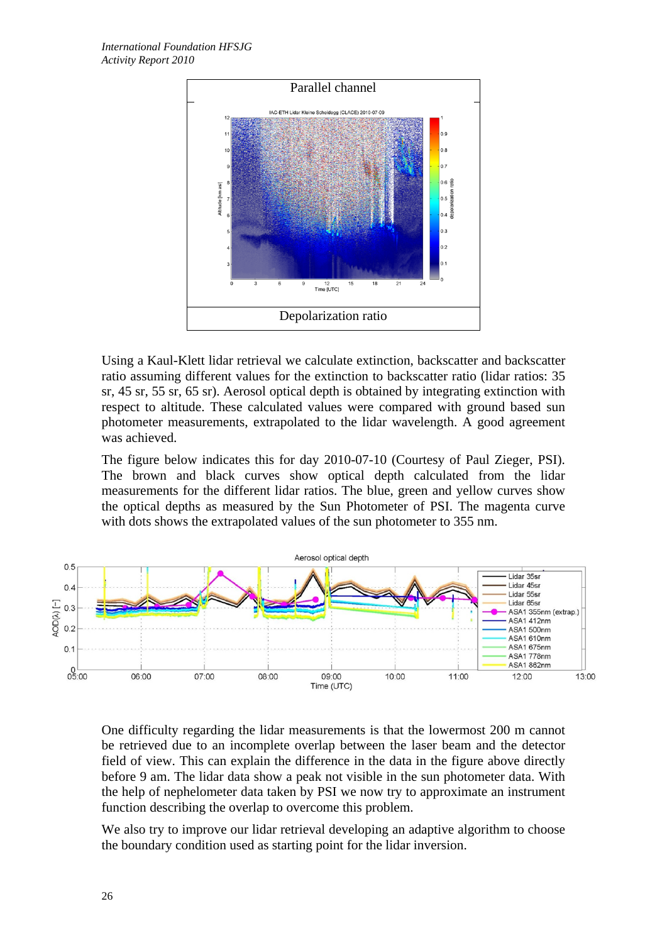

Using a Kaul-Klett lidar retrieval we calculate extinction, backscatter and backscatter ratio assuming different values for the extinction to backscatter ratio (lidar ratios: 35 sr, 45 sr, 55 sr, 65 sr). Aerosol optical depth is obtained by integrating extinction with respect to altitude. These calculated values were compared with ground based sun photometer measurements, extrapolated to the lidar wavelength. A good agreement was achieved.

The figure below indicates this for day 2010-07-10 (Courtesy of Paul Zieger, PSI). The brown and black curves show optical depth calculated from the lidar measurements for the different lidar ratios. The blue, green and yellow curves show the optical depths as measured by the Sun Photometer of PSI. The magenta curve with dots shows the extrapolated values of the sun photometer to 355 nm.



One difficulty regarding the lidar measurements is that the lowermost 200 m cannot be retrieved due to an incomplete overlap between the laser beam and the detector field of view. This can explain the difference in the data in the figure above directly before 9 am. The lidar data show a peak not visible in the sun photometer data. With the help of nephelometer data taken by PSI we now try to approximate an instrument function describing the overlap to overcome this problem.

We also try to improve our lidar retrieval developing an adaptive algorithm to choose the boundary condition used as starting point for the lidar inversion.